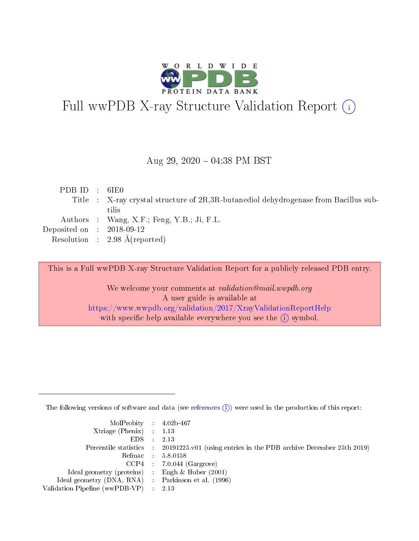

## Full wwPDB X-ray Structure Validation Report (i)

#### Aug 29,  $2020 - 04:38$  PM BST

| PDBID : 6IE0                |                                                                                      |
|-----------------------------|--------------------------------------------------------------------------------------|
|                             | Title : X-ray crystal structure of 2R,3R-butanediol dehydrogeness from Bacillus sub- |
|                             | tilis                                                                                |
|                             | Authors : Wang, X.F.; Feng, Y.B.; Ji, F.L.                                           |
| Deposited on : $2018-09-12$ |                                                                                      |
|                             | Resolution : 2.98 $\AA$ (reported)                                                   |

This is a Full wwPDB X-ray Structure Validation Report for a publicly released PDB entry.

We welcome your comments at validation@mail.wwpdb.org A user guide is available at <https://www.wwpdb.org/validation/2017/XrayValidationReportHelp> with specific help available everywhere you see the  $(i)$  symbol.

The following versions of software and data (see [references](https://www.wwpdb.org/validation/2017/XrayValidationReportHelp#references)  $(i)$ ) were used in the production of this report:

| MolProbity : 4.02b-467                              |                                                                                                    |
|-----------------------------------------------------|----------------------------------------------------------------------------------------------------|
| Xtriage (Phenix) $: 1.13$                           |                                                                                                    |
| $EDS = 2.13$                                        |                                                                                                    |
|                                                     | Percentile statistics : $20191225 \times 01$ (using entries in the PDB archive December 25th 2019) |
|                                                     | Refmac : 5.8.0158                                                                                  |
|                                                     | $CCP4$ 7.0.044 (Gargrove)                                                                          |
| Ideal geometry (proteins) : Engh $\&$ Huber (2001)  |                                                                                                    |
| Ideal geometry (DNA, RNA) : Parkinson et al. (1996) |                                                                                                    |
| Validation Pipeline (wwPDB-VP) : 2.13               |                                                                                                    |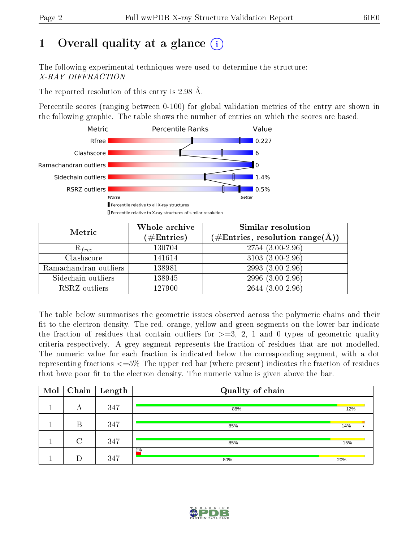## 1 [O](https://www.wwpdb.org/validation/2017/XrayValidationReportHelp#overall_quality)verall quality at a glance  $(i)$

The following experimental techniques were used to determine the structure: X-RAY DIFFRACTION

The reported resolution of this entry is 2.98 Å.

Percentile scores (ranging between 0-100) for global validation metrics of the entry are shown in the following graphic. The table shows the number of entries on which the scores are based.



| Metric                | Whole archive<br>$(\#\text{Entries})$ | Similar resolution<br>$(\#\text{Entries},\,\text{resolution}\,\,\text{range}(\textup{\AA}))$ |
|-----------------------|---------------------------------------|----------------------------------------------------------------------------------------------|
| $R_{free}$            | 130704                                | $2754(3.00-2.96)$                                                                            |
| Clashscore            | 141614                                | $3103(3.00-2.96)$                                                                            |
| Ramachandran outliers | 138981                                | $2993(3.00-2.96)$                                                                            |
| Sidechain outliers    | 138945                                | $2996(3.00-2.96)$                                                                            |
| RSRZ outliers         | 127900                                | $2644(3.00-2.96)$                                                                            |

The table below summarises the geometric issues observed across the polymeric chains and their fit to the electron density. The red, orange, yellow and green segments on the lower bar indicate the fraction of residues that contain outliers for  $>=3, 2, 1$  and 0 types of geometric quality criteria respectively. A grey segment represents the fraction of residues that are not modelled. The numeric value for each fraction is indicated below the corresponding segment, with a dot representing fractions  $\epsilon=5\%$  The upper red bar (where present) indicates the fraction of residues that have poor fit to the electron density. The numeric value is given above the bar.

| Mol |        | $\boxed{\text{Chain}}$ Length | Quality of chain |     |  |
|-----|--------|-------------------------------|------------------|-----|--|
|     | А      | 347                           | 88%              | 12% |  |
|     | В      | 347                           | 85%              | 14% |  |
|     | $\cap$ | 347                           | 85%              | 15% |  |
|     |        | 347                           | 2%<br>80%        | 20% |  |

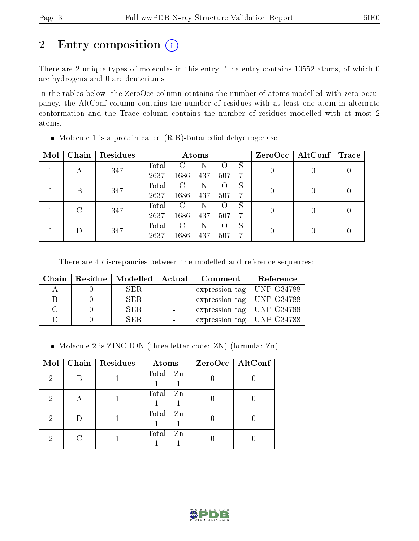## 2 Entry composition (i)

There are 2 unique types of molecules in this entry. The entry contains 10552 atoms, of which 0 are hydrogens and 0 are deuteriums.

In the tables below, the ZeroOcc column contains the number of atoms modelled with zero occupancy, the AltConf column contains the number of residues with at least one atom in alternate conformation and the Trace column contains the number of residues modelled with at most 2 atoms.

| Mol | Chain | Residues | Atoms |      |     |     |                  | ZeroOcc   AltConf | Trace |  |
|-----|-------|----------|-------|------|-----|-----|------------------|-------------------|-------|--|
|     |       | 347      | Total | C    | Ν   |     | S                | $\overline{0}$    |       |  |
|     |       |          | 2637  | 1686 | 437 | 507 | -7               |                   |       |  |
|     | В     | 347      | Total | C    | Ν   |     | S                | 0                 |       |  |
|     |       |          | 2637  | 1686 | 437 | 507 | 7                |                   |       |  |
|     | C     | 347      | Total | C    | N   |     | S                | 0                 |       |  |
|     |       |          | 2637  | 1686 | 437 | 507 | -7               |                   |       |  |
|     |       |          | Total | C    | Ν   |     | S                |                   |       |  |
|     | 347   | 2637     | 1686  | 437  | 507 | 7   | $\left( \right)$ |                   |       |  |

 $\bullet$  Molecule 1 is a protein called  $(R,R)$ -butanediol dehydrogenase.

There are 4 discrepancies between the modelled and reference sequences:

| Chain | $\mid$ Residue $\mid$ Modelled $\mid$ | Actual | Comment                       | Reference |
|-------|---------------------------------------|--------|-------------------------------|-----------|
|       | SER.                                  |        | expression tag   UNP $O34788$ |           |
|       | SER.                                  |        | expression tag   UNP $O34788$ |           |
|       | SER.                                  |        | expression tag   UNP $O34788$ |           |
|       | SER                                   |        | expression tag   UNP 034788   |           |

• Molecule 2 is ZINC ION (three-letter code: ZN) (formula: Zn).

| Mol | Chain Residues | Atoms       | $ZeroOcc$   AltConf |
|-----|----------------|-------------|---------------------|
| 2   |                | Total Zn    |                     |
| 2   |                | Total Zn    |                     |
| 2   |                | Total Zn    |                     |
| 9   |                | Total<br>Zn |                     |

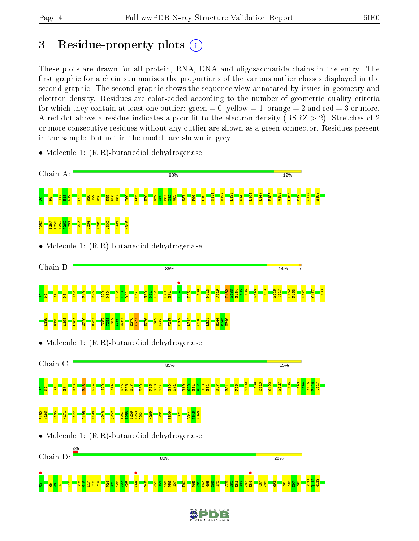## 3 Residue-property plots  $(i)$

These plots are drawn for all protein, RNA, DNA and oligosaccharide chains in the entry. The first graphic for a chain summarises the proportions of the various outlier classes displayed in the second graphic. The second graphic shows the sequence view annotated by issues in geometry and electron density. Residues are color-coded according to the number of geometric quality criteria for which they contain at least one outlier: green  $= 0$ , yellow  $= 1$ , orange  $= 2$  and red  $= 3$  or more. A red dot above a residue indicates a poor fit to the electron density ( $\text{RSRZ} > 2$ ). Stretches of 2 or more consecutive residues without any outlier are shown as a green connector. Residues present in the sample, but not in the model, are shown in grey.

• Molecule 1:  $(R,R)$ -butanediol dehydrogenase

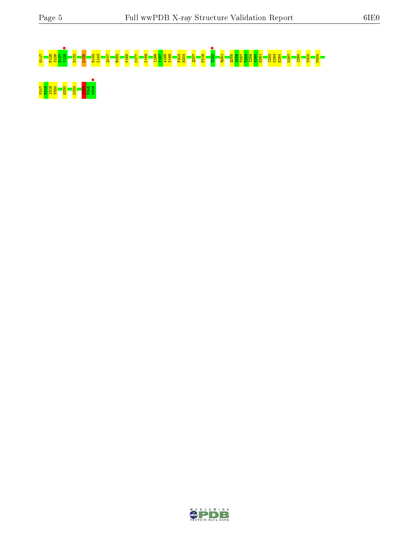# G117 F125 S126 E127 Y128 • D132 L135 E142 L143 Q147 R162 K165 C177 K189 I196 Y197 A198 V199 P203 E204 Q207 P219 T222 • R251 Q255 S256 T257 T258 I259 A260 G261 I282 K283 E284 V287 I290 V300 M304



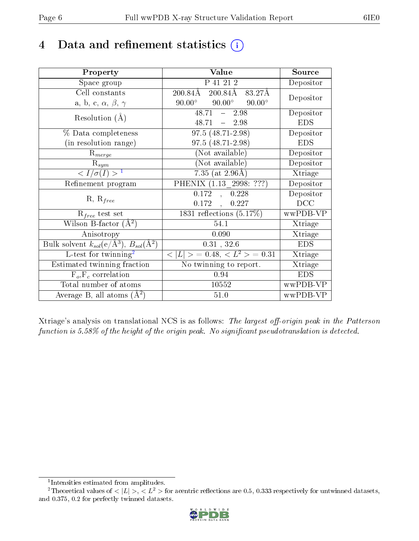## 4 Data and refinement statistics  $(i)$

| Property                                                         | Value                                             | Source     |
|------------------------------------------------------------------|---------------------------------------------------|------------|
| Space group                                                      | P 41 21 2                                         | Depositor  |
| Cell constants                                                   | 200.84Å<br>200.84Å<br>83.27Å                      | Depositor  |
| a, b, c, $\alpha$ , $\beta$ , $\gamma$                           | $90.00^{\circ}$<br>$90.00^\circ$<br>$90.00^\circ$ |            |
| Resolution $(A)$                                                 | $48.71 - 2.98$                                    | Depositor  |
|                                                                  | 48.71<br>$-2.98$                                  | <b>EDS</b> |
| % Data completeness                                              | $97.5(48.71-2.98)$                                | Depositor  |
| (in resolution range)                                            | $97.5(48.71-2.98)$                                | <b>EDS</b> |
| $R_{merge}$                                                      | (Not available)                                   | Depositor  |
| $\mathrm{R}_{sym}$                                               | (Not available)                                   | Depositor  |
| $\langle I/\sigma(I) \rangle^{-1}$                               | 7.35 (at $2.96\text{\AA}$ )                       | Xtriage    |
| Refinement program                                               | PHENIX (1.13 2998: ???)                           | Depositor  |
|                                                                  | 0.172<br>, 0.228                                  | Depositor  |
| $R, R_{free}$                                                    | 0.227<br>0.172,                                   | DCC        |
| $\mathcal{R}_{free}$ test set                                    | $1831$ reflections $(5.17\%)$                     | wwPDB-VP   |
| Wilson B-factor $(A^2)$                                          | 54.1                                              | Xtriage    |
| Anisotropy                                                       | 0.090                                             | Xtriage    |
| Bulk solvent $k_{sol}(\text{e}/\text{A}^3), B_{sol}(\text{A}^2)$ | 0.31, 32.6                                        | <b>EDS</b> |
| L-test for $\mathrm{twinning}^2$                                 | $< L >$ = 0.48, $< L2$ = 0.31                     | Xtriage    |
| Estimated twinning fraction                                      | No twinning to report.                            | Xtriage    |
| $F_o, F_c$ correlation                                           | 0.94                                              | <b>EDS</b> |
| Total number of atoms                                            | 10552                                             | wwPDB-VP   |
| Average B, all atoms $(A^2)$                                     | 51.0                                              | wwPDB-VP   |

Xtriage's analysis on translational NCS is as follows: The largest off-origin peak in the Patterson function is  $5.58\%$  of the height of the origin peak. No significant pseudotranslation is detected.

<sup>&</sup>lt;sup>2</sup>Theoretical values of  $\langle |L| \rangle$ ,  $\langle L^2 \rangle$  for acentric reflections are 0.5, 0.333 respectively for untwinned datasets, and 0.375, 0.2 for perfectly twinned datasets.



<span id="page-5-1"></span><span id="page-5-0"></span><sup>1</sup> Intensities estimated from amplitudes.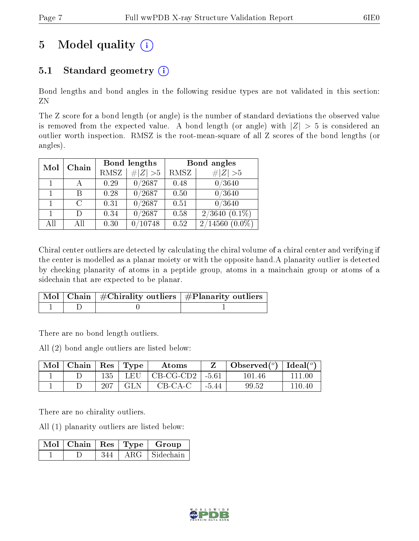## 5 Model quality  $(i)$

## 5.1 Standard geometry  $(i)$

Bond lengths and bond angles in the following residue types are not validated in this section: ZN

The Z score for a bond length (or angle) is the number of standard deviations the observed value is removed from the expected value. A bond length (or angle) with  $|Z| > 5$  is considered an outlier worth inspection. RMSZ is the root-mean-square of all Z scores of the bond lengths (or angles).

| Mol | Chain  |      | Bond lengths    | Bond angles |                             |  |
|-----|--------|------|-----------------|-------------|-----------------------------|--|
|     |        | RMSZ | $\# Z  > 5$     | RMSZ        | Z   > 5                     |  |
|     |        | 0.29 | 0/2687          | 0.48        | 0/3640                      |  |
|     | В      | 0.28 | $\sqrt{0/2687}$ | 0.50        | 0/3640                      |  |
|     | C      | 0.31 | 0/2687          | 0.51        | 0/3640                      |  |
|     | $\Box$ | 0.34 | 0/2687          | 0.58        | $2/3640~(0.\overline{1\%})$ |  |
| All | Αll    | 0.30 | 10748           | 0.52        | $2/14560(0.0\%)$            |  |

Chiral center outliers are detected by calculating the chiral volume of a chiral center and verifying if the center is modelled as a planar moiety or with the opposite hand.A planarity outlier is detected by checking planarity of atoms in a peptide group, atoms in a mainchain group or atoms of a sidechain that are expected to be planar.

|  | $\mid$ Mol $\mid$ Chain $\mid$ #Chirality outliers $\mid$ #Planarity outliers $'$ |
|--|-----------------------------------------------------------------------------------|
|  |                                                                                   |

There are no bond length outliers.

All (2) bond angle outliers are listed below:

| $\text{Mol}$ | $\vert$ Chain $\vert$ Res $\vert$ Type |     |            | Atoms                     |         | Observed $(^\circ)$   Ideal $(^\circ)$ |        |
|--------------|----------------------------------------|-----|------------|---------------------------|---------|----------------------------------------|--------|
|              |                                        | 135 | LEU        | $\vert$ CB-CG-CD2 $\vert$ | $-5.61$ | 101.46                                 | 111 00 |
|              |                                        | 207 | <b>GLN</b> | CB-CA-C                   | $-5.44$ | 99.52                                  | 110.40 |

There are no chirality outliers.

All (1) planarity outliers are listed below:

|  |     | $\mid$ Mol $\mid$ Chain $\mid$ Res $\mid$ Type $\mid$ Group |
|--|-----|-------------------------------------------------------------|
|  | 344 | ARG Sidechain                                               |

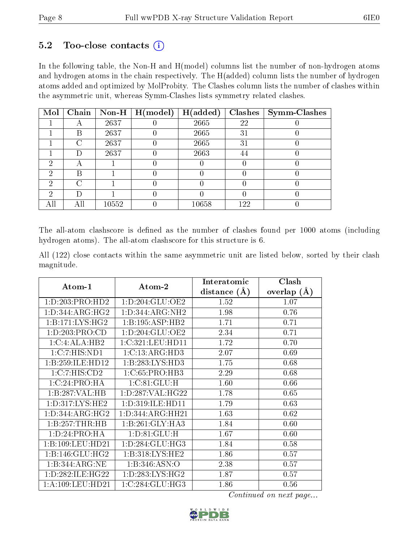#### $5.2$  Too-close contacts  $(i)$

In the following table, the Non-H and H(model) columns list the number of non-hydrogen atoms and hydrogen atoms in the chain respectively. The H(added) column lists the number of hydrogen atoms added and optimized by MolProbity. The Clashes column lists the number of clashes within the asymmetric unit, whereas Symm-Clashes lists symmetry related clashes.

| Mol | Chain  |       | Non-H $\mid$ H(model) | H(added) | Clashes | $\vert$ Symm-Clashes |
|-----|--------|-------|-----------------------|----------|---------|----------------------|
|     | A      | 2637  |                       | 2665     | 22      |                      |
|     | В      | 2637  |                       | 2665     | 31      |                      |
|     | $\cap$ | 2637  |                       | 2665     | 31      |                      |
|     | Ð      | 2637  |                       | 2663     | 44      |                      |
| ച   | А      |       |                       |          |         |                      |
| 2   | В      |       |                       |          |         |                      |
| റ   | C      |       |                       |          |         |                      |
| 2   | I)     |       |                       |          |         |                      |
|     | All    | 10552 |                       | 10658    | 122     |                      |

The all-atom clashscore is defined as the number of clashes found per 1000 atoms (including hydrogen atoms). The all-atom clashscore for this structure is 6.

All (122) close contacts within the same asymmetric unit are listed below, sorted by their clash magnitude.

|                              |                     | Interatomic    | Clash         |
|------------------------------|---------------------|----------------|---------------|
| Atom-1                       | Atom-2              | distance $(A)$ | overlap $(A)$ |
| 1: D: 203: PRO: HD2          | 1: D: 204: GLU: OE2 | 1.52           | 1.07          |
| 1:D:344:ARG:HG2              | 1: D: 344: ARG: NH2 | 1.98           | 0.76          |
| 1:B:171:LYS:HG2              | 1:B:195:ASP:HB2     | 1.71           | 0.71          |
| 1: D: 203: PRO:CD            | 1: D: 204: GLU: OE2 | 2.34           | 0.71          |
| 1:C:4:ALA:HB2                | 1:C:321:LEU:HD11    | 1.72           | 0.70          |
| 1:C:7:HIS:ND1                | 1: C: 13: ARG: HD3  | 2.07           | 0.69          |
| 1:B:259:ILE:HD12             | 1:B:283:LYS:HD3     | 1.75           | 0.68          |
| 1:C:7:HIS:CD2                | 1:C:65:PRO:HB3      | 2.29           | 0.68          |
| 1:C:24:PRO:HA                | 1:C:81:GLU:H        | 1.60           | 0.66          |
| 1:B:287:VAL:HB               | 1: D: 287: VAL:HG22 | 1.78           | 0.65          |
| 1:D:317:LYS:HE2              | 1:D:319:ILE:HD11    | 1.79           | 0.63          |
| $1:D:344:ARG:H\overline{G2}$ | 1:D:344:ARG:HH21    | 1.63           | 0.62          |
| 1:B:257:THR:HB               | 1:B:261:GLY:HA3     | 1.84           | 0.60          |
| 1:D:24:PRO:HA                | 1: D:81: GLU: H     | 1.67           | 0.60          |
| 1:B:109:LEU:HD21             | 1: D: 284: GLU: HG3 | 1.84           | 0.58          |
| 1:B:146:GLU:HG2              | 1: B: 318: LYS: HE2 | 1.86           | 0.57          |
| 1:B:344:ARG:NE               | 1:B:346:ASN:O       | 2.38           | 0.57          |
| 1: D: 282: ILE: HG22         | 1: D: 283: LYS: HG2 | 1.87           | 0.57          |
| 1:A:109:LEU:HD21             | 1:C:284:GLU:HG3     | 1.86           | 0.56          |

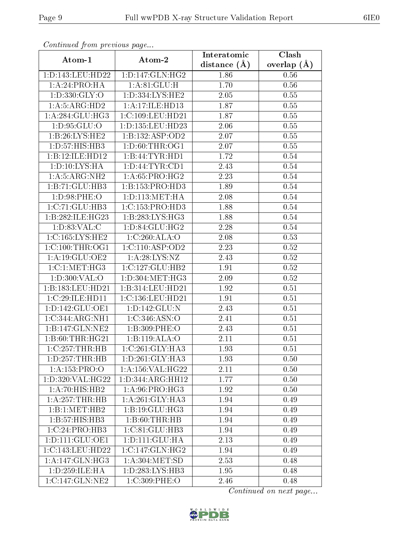| Commaca from previous page  |                      | Interatomic    | Clash         |  |
|-----------------------------|----------------------|----------------|---------------|--|
| Atom-1                      | Atom-2               | distance $(A)$ | overlap $(A)$ |  |
| 1:D:143:LEU:HD22            | 1: D: 147: GLN: HG2  | 1.86           | 0.56          |  |
| 1:A:24:PRO:HA               | 1: A:81: GLU: H      | 1.70           | 0.56          |  |
| 1: D: 330: GLY: O           | 1: D: 334: LYS: HE2  | 2.05           | 0.55          |  |
| 1: A:5: ARG:HD2             | 1:A:17:ILE:HD13      | 1.87           | 0.55          |  |
| 1: A:284: GLU:HG3           | 1:C:109:LEU:HD21     | 1.87           | 0.55          |  |
| 1: D: 95: GLU: O            | 1: D: 135: LEU: HD23 | 2.06           | 0.55          |  |
| 1:B:26:LYS:HE2              | 1:B:132:ASP:OD2      | 2.07           | $0.55\,$      |  |
| 1: D: 57: HIS: HB3          | 1: D:60:THR:OG1      | 2.07           | 0.55          |  |
| 1:B:12:ILE:HD12             | 1:B:44:TYR:HD1       | 1.72           | 0.54          |  |
| 1: D: 10: LYS: HA           | 1: D: 44: TYR: CD1   | 2.43           | 0.54          |  |
| 1:A:5:ARG:NH2               | 1: A:65: PRO:HG2     | 2.23           | 0.54          |  |
| 1:B:71:GLU:HB3              | 1:B:153:PRO:HD3      | 1.89           | 0.54          |  |
| 1:D:98:PHE:O                | 1: D: 113: MET: HA   | 2.08           | 0.54          |  |
| 1: C: 71: GLU: HB3          | 1:C:153:PRO:HD3      | 1.88           | 0.54          |  |
| 1:B:282:ILE:HG23            | 1:B:283:LYS:HG3      | 1.88           | 0.54          |  |
| 1: D: 83: VAL: C            | 1:D:84:GLU:HG2       | 2.28           | 0.54          |  |
| 1:C:165:LYS:HE2             | 1:C:260:ALA:O        | 2.08           | 0.53          |  |
| 1:C:100:THR:OG1             | 1:C:110:ASP:OD2      | 2.23           | 0.52          |  |
| 1:A:19:GLU:OE2              | 1: A:28: LYS:NZ      | 2.43           | 0.52          |  |
| 1:C:1:MET:HG3               | 1:C:127:GLU:HB2      | 1.91           | 0.52          |  |
| 1:D:300:VAL:O               | 1:D:304:MET:HG3      | 2.09           | 0.52          |  |
| 1:B:183:LEU:HD21            | 1:B:314:LEU:HD21     | 1.92           | 0.51          |  |
| 1:C:29:ILE:HD11             | 1:C:136:LEU:HD21     | 1.91           | 0.51          |  |
| 1:D:142:GLU:OE1             | 1:D:142:GLU:N        | 2.43           | 0.51          |  |
| 1:C:344:ARG:NH1             | 1:C:346:ASN:O        | 2.41           | 0.51          |  |
| 1:B:147:GLN:NE2             | 1:B:309:PHE:O        | 2.43           | 0.51          |  |
| 1:B:60:THR:HG21             | 1:B:119:ALA:O        | 2.11           | 0.51          |  |
| 1:C:257:THR:HB              | 1:C:261:GLY:HA3      | 1.93           | 0.51          |  |
| 1: D: 257: THR: HB          | 1: D: 261: GLY: HA3  | 1.93           | 0.50          |  |
| 1:A:153:PRO:O               | 1: A: 156: VAL:HG22  | 2.11           | 0.50          |  |
| 1: D:320: VAL:HG22          | 1:D:344:ARG:HH12     | 1.77           | 0.50          |  |
| $1:A:70:HIS:\overline{HB2}$ | 1: A:96: PRO:HG3     | 1.92           | 0.50          |  |
| 1: A:257:THR:HB             | 1:A:261:GLY:HA3      | 1.94           | 0.49          |  |
| 1:B:1:MET:HB2               | 1:B:19:GLU:HG3       | 1.94           | 0.49          |  |
| 1:B:57:HIS:HB3              | 1:B:60:THR:HB        | 1.94           | 0.49          |  |
| 1:C:24:PRO:HB3              | 1:C:81:GLU:HB3       | 1.94           | 0.49          |  |
| 1: D: 111: GLU: OE1         | 1: D: 111: GLU: HA   | 2.13           | 0.49          |  |
| 1:C:143:LEU:HD22            | 1:C:147:GLN:HG2      | 1.94           | 0.49          |  |
| 1: A:147: GLN: HG3          | 1: A:304: MET:SD     | 2.53           | 0.48          |  |
| 1:D:259:ILE:HA              | 1: D: 283: LYS: HB3  | 1.95           | 0.48          |  |
| 1:C:147:GLN:NE2             | 1:C:309:PHE:O        | 2.46           | 0.48          |  |

Continued from previous page.

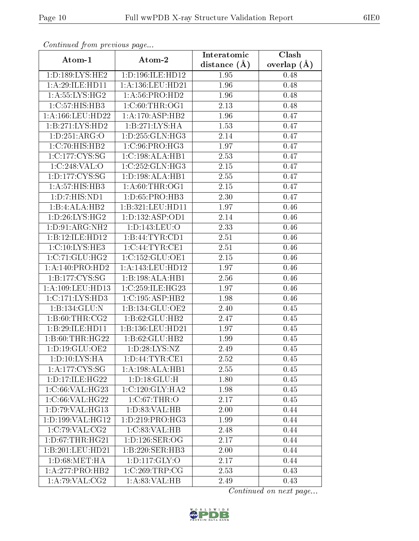| Continuati pont previous page |                               | Interatomic    | Clash         |
|-------------------------------|-------------------------------|----------------|---------------|
| Atom-1                        | Atom-2                        | distance $(A)$ | overlap $(A)$ |
| 1: D: 189: LYS: HE2           | 1:D:196:ILE:HD12              | 1.95           | 0.48          |
| 1:A:29:ILE:HD11               | 1: A: 136: LEU: HD21          | 1.96           | 0.48          |
| 1: A:55: LYS:HG2              | 1:A:56:PRO:HD2                | 1.96           | 0.48          |
| 1:C:57:HIS:HB3                | 1:C:60:THR:OG1                | 2.13           | 0.48          |
| 1: A: 166: LEU: HD22          | 1:A:170:ASP:HB2               | 1.96           | 0.47          |
| 1:B:271:LYS:HD2               | 1:B:271:LYS:HA                | 1.53           | 0.47          |
| 1: D: 251: ARG: O             | 1: D: 255: GLN: HG3           | 2.14           | 0.47          |
| 1:C:70:HIS:HB2                | 1:C:96:PRO:HG3                | 1.97           | 0.47          |
| 1:C:177:CYS:SG                | 1:C:198:ALA:HB1               | 2.53           | 0.47          |
| 1:C:248:VAL:O                 | 1:C:252:GLN:HG3               | 2.15           | 0.47          |
| 1: D: 177: CYS: SG            | 1:D:198:ALA:HB1               | 2.55           | 0.47          |
| 1:A:57:HIS:HB3                | 1: A:60:THR:OG1               | 2.15           | 0.47          |
| 1:D:7:HIS:ND1                 | $1: D:65: PRO:H\overline{B3}$ | 2.30           | 0.47          |
| 1:B:4:ALA:HB2                 | 1:B:321:LEU:HD11              | 1.97           | 0.46          |
| 1: D:26: LYS: HG2             | 1:D:132:ASP:OD1               | 2.14           | 0.46          |
| 1:D:91:ARG:NH2                | 1:D:143:LEU:O                 | 2.33           | 0.46          |
| 1:B:12:ILE:HD12               | 1:B:44:TYR:CD1                | 2.51           | 0.46          |
| 1:C:10:LYS:HE3                | 1:C:44:TYR:CE1                | 2.51           | 0.46          |
| 1:C:71:GLU:HG2                | 1:C:152:GLU:OE1               | 2.15           | 0.46          |
| 1:A:140:PRO:HD2               | 1:A:143:LEU:HDI2              | 1.97           | 0.46          |
| 1:B:177:CYS:SG                | 1:B:198:ALA:HB1               | 2.56           | 0.46          |
| 1: A: 109: LEU: HD13          | 1:C:259:ILE:HG23              | 1.97           | 0.46          |
| 1: C: 171: LYS: HD3           | 1:C:195:ASP:HB2               | 1.98           | 0.46          |
| 1:B:134:GLU:N                 | 1:B:134:GLU:OE2               | 2.40           | 0.45          |
| 1:B:60:THR:CG2                | 1:B:62:GLU:HB2                | 2.47           | 0.45          |
| 1:B:29:ILE:HD11               | 1:B:136:LEU:HD21              | 1.97           | 0.45          |
| 1:B:60:THR:HG22               | 1:B:62:GLU:HB2                | 1.99           | 0.45          |
| 1: D: 19: GLU: OE2            | 1: D: 28: LYS: NZ             | 2.49           | 0.45          |
| $1: D: 10: LY\overline{S:HA}$ | 1: D: 44: TYR: CE1            | 2.52           | 0.45          |
| 1:A:177:CYS:SG                | 1:A:198:ALA:HB1               | 2.55           | 0.45          |
| 1: D: 17: ILE: HG22           | 1:D:18:GLU:H                  | 1.80           | 0.45          |
| 1:C:66:VAL:HG23               | 1:C:120:GLY:HA2               | 1.98           | 0.45          |
| 1:C:66:VAL:HG22               | 1: C:67:THR:O                 | 2.17           | 0.45          |
| 1:D:79:VAL:HG13               | 1: D: 83: VAL: HB             | 2.00           | 0.44          |
| 1: D: 199: VAL:HG12           | 1: D: 219: PRO: HG3           | 1.99           | 0.44          |
| 1:C:79:VAL:CG2                | 1:C:83:VAL:HB                 | 2.48           | 0.44          |
| 1: D: 67: THR: HG21           | 1: D: 126: SER: OG            | 2.17           | 0.44          |
| 1:B:201:LEU:HD21              | 1:B:220:SER:HB3               | 2.00           | 0.44          |
| 1: D:68: MET:HA               | 1: D: 117: GLY: O             | 2.17           | 0.44          |
| 1:A:277:PRO:HB2               | 1:C:269:TRP:CG                | 2.53           | 0.43          |
| 1:A:79:VAL:CG2                | 1: A:83: VAL:HB               | 2.49           | 0.43          |

Continued from previous page.

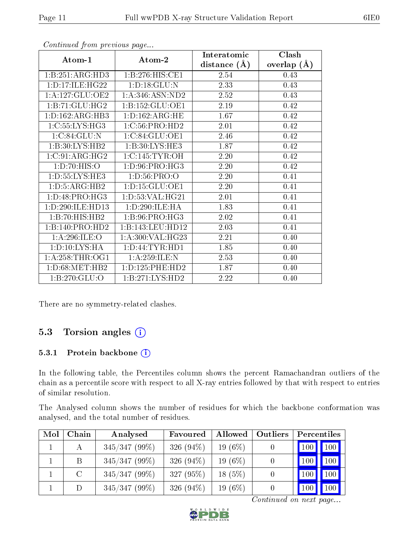|                     |                     | Interatomic       | Clash         |
|---------------------|---------------------|-------------------|---------------|
| Atom-1              | Atom-2              | distance $(A)$    | overlap $(A)$ |
| 1:B:251:ARG:HD3     | 1: B: 276: HIS: CE1 | 2.54              | 0.43          |
| 1: D: 17: ILE: HG22 | 1:D:18:GLU:N        | 2.33              | 0.43          |
| 1:A:127:GLU:OE2     | 1: A:346: ASN:ND2   | 2.52              | 0.43          |
| 1:B:71:GLU:HG2      | 1:B:152:GLU:OE1     | 2.19              | 0.42          |
| 1: D: 162: ARG: HB3 | 1: D: 162: ARG: HE  | 1.67              | 0.42          |
| 1:C:55:LYS:HG3      | 1: C:56: PRO:HD2    | 2.01              | 0.42          |
| 1:C:84:GLU:N        | 1:C:84:GLU:OE1      | 2.46              | 0.42          |
| 1:B:30:LYS:HB2      | 1:B:30:LYS:HE3      | 1.87              | 0.42          |
| 1:C:91:ARG:HG2      | 1:C:145:TYR:OH      | 2.20              | 0.42          |
| 1: D: 70: HIS: O    | 1: D: 96: PRO:HG3   | 2.20              | 0.42          |
| 1: D: 55: LYS: HE3  | 1: D:56: PRO:O      | 2.20              | 0.41          |
| 1: D: 5: ARG: HB2   | 1:D:15:GLU:OE1      | 2.20              | 0.41          |
| 1: D: 48: PRO:HG3   | 1: D: 53: VAL: HG21 | 2.01              | 0.41          |
| 1:D:290:ILE:HD13    | 1:D:290:ILE:HA      | 1.83              | 0.41          |
| 1:B:70:HIS:HB2      | 1:B:96:PRO:HG3      | 2.02              | 0.41          |
| 1:B:140:PRO:HD2     | 1:B:143:LEU:HD12    | 2.03              | 0.41          |
| 1: A:296: ILE: O    | 1:A:300:VAL:HG23    | 2.21              | 0.40          |
| 1:D:10:LYS:HA       | 1: D: 44: TYR: HD1  | 1.85              | 0.40          |
| 1: A:258:THR:OG1    | 1:A:259:ILE:N       | 2.53              | 0.40          |
| 1: D:68:MET:HB2     | 1: D: 125: PHE: HD2 | 1.87              | 0.40          |
| 1:B:270:GLU:O       | 1:B:271:LYS:HD2     | $\overline{2.22}$ | 0.40          |

Continued from previous page...

There are no symmetry-related clashes.

### 5.3 Torsion angles (i)

#### 5.3.1 Protein backbone (i)

In the following table, the Percentiles column shows the percent Ramachandran outliers of the chain as a percentile score with respect to all X-ray entries followed by that with respect to entries of similar resolution.

The Analysed column shows the number of residues for which the backbone conformation was analysed, and the total number of residues.

| Mol | Chain   | Analysed        | Favoured     | Allowed    | Outliers | Percentiles |                  |
|-----|---------|-----------------|--------------|------------|----------|-------------|------------------|
|     | А       | $345/347(99\%)$ | 326 $(94\%)$ | 19 $(6\%)$ |          |             | $100$   $100$    |
|     | Β       | $345/347(99\%)$ | 326 $(94\%)$ | 19 $(6\%)$ |          | 100         | 100              |
|     | $\rm C$ | $345/347(99\%)$ | 327 $(95%)$  | 18 $(5%)$  |          | 100         | 100              |
|     | D       | $345/347(99\%)$ | 326 $(94\%)$ | 19 $(6\%)$ |          | 100         | 100 <sub>1</sub> |

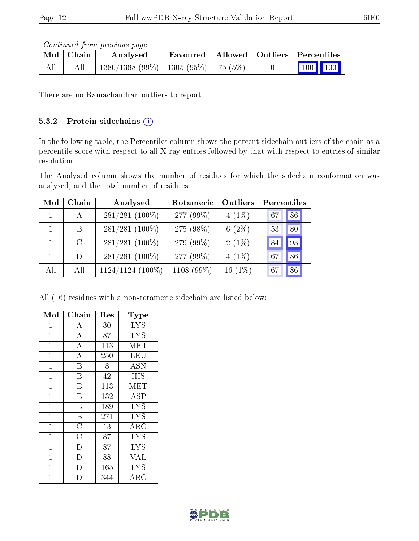Continued from previous page...

|     | ⊦ Mol∣Chain | Analysed                               | Favoured   Allowed   Outliers   Percentiles |  |                                                                                  |  |
|-----|-------------|----------------------------------------|---------------------------------------------|--|----------------------------------------------------------------------------------|--|
| All | All         | 1380/1388 (99%)   1305 (95%)   75 (5%) |                                             |  | $\begin{array}{ c c c c }\n\hline\n\hline\n\text{100} & \text{100}\n\end{array}$ |  |

There are no Ramachandran outliers to report.

#### 5.3.2 Protein sidechains (i)

In the following table, the Percentiles column shows the percent sidechain outliers of the chain as a percentile score with respect to all X-ray entries followed by that with respect to entries of similar resolution.

The Analysed column shows the number of residues for which the sidechain conformation was analysed, and the total number of residues.

| Mol | Chain   | Analysed         | Rotameric  | Outliers  | Percentiles |
|-----|---------|------------------|------------|-----------|-------------|
|     |         | $281/281$ (100%) | 277 (99%)  | $4(1\%)$  | 86<br>67    |
|     | B       | $281/281$ (100%) | 275 (98%)  | 6 $(2\%)$ | 80<br>53    |
|     | $\rm C$ | $281/281$ (100%) | 279 (99%)  | $2(1\%)$  | 93          |
|     | D       | $281/281$ (100%) | 277 (99%)  | $4(1\%)$  | 86<br>67    |
| All | All     | 1124/1124 (100%) | 1108 (99%) | $16(1\%)$ | 86<br>67    |

All (16) residues with a non-rotameric sidechain are listed below:

| Mol            | Chain              | $\operatorname{Res}% \left( \mathcal{N}\right) \equiv\operatorname{Res}(\mathcal{N}_{0})\cap\mathcal{N}_{1}$ | $_{\rm Type}$ |
|----------------|--------------------|--------------------------------------------------------------------------------------------------------------|---------------|
| $\mathbf 1$    | А                  | 30                                                                                                           | <b>LYS</b>    |
| 1              | $\overline{\rm A}$ | 87                                                                                                           | <b>LYS</b>    |
| $\mathbf{1}$   | $\bf{A}$           | 113                                                                                                          | <b>MET</b>    |
| $\mathbf{1}$   | $\overline{A}$     | 250                                                                                                          | LEU           |
| $\mathbf{1}$   | $\overline{B}$     | 8                                                                                                            | <b>ASN</b>    |
| $\mathbf 1$    | B                  | 42                                                                                                           | <b>HIS</b>    |
| $\overline{1}$ | B                  | 113                                                                                                          | MET           |
| $\mathbf{1}$   | B                  | 132                                                                                                          | ASP           |
| $\mathbf{1}$   | $\bar{\mathrm{B}}$ | 189                                                                                                          | <b>LYS</b>    |
| $\mathbf{1}$   | $\boldsymbol{B}$   | 271                                                                                                          | <b>LYS</b>    |
| $\mathbf{1}$   | $\overline{\rm C}$ | 13                                                                                                           | ARG           |
| $\mathbf{1}$   | $\overline{\rm C}$ | 87                                                                                                           | <b>LYS</b>    |
| $\overline{1}$ | $\overline{D}$     | 87                                                                                                           | <b>LYS</b>    |
| $\overline{1}$ | $\mathbf{D}$       | 88                                                                                                           | <b>VAL</b>    |
| $\mathbf{1}$   | D                  | 165                                                                                                          | <b>LYS</b>    |
| $\overline{1}$ | D                  | 344                                                                                                          | ${\rm ARG}$   |

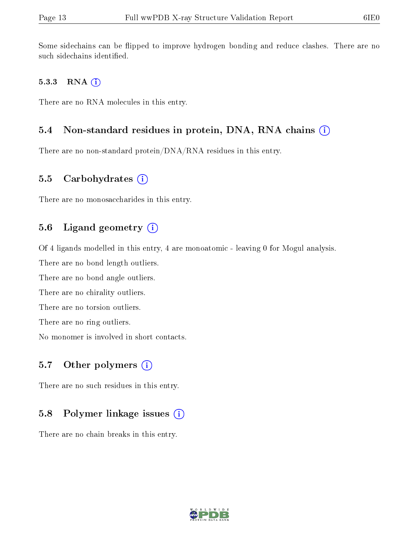Some sidechains can be flipped to improve hydrogen bonding and reduce clashes. There are no such sidechains identified.

#### 5.3.3 RNA (i)

There are no RNA molecules in this entry.

#### 5.4 Non-standard residues in protein, DNA, RNA chains (i)

There are no non-standard protein/DNA/RNA residues in this entry.

#### 5.5 Carbohydrates  $(i)$

There are no monosaccharides in this entry.

#### 5.6 Ligand geometry  $(i)$

Of 4 ligands modelled in this entry, 4 are monoatomic - leaving 0 for Mogul analysis.

There are no bond length outliers.

There are no bond angle outliers.

There are no chirality outliers.

There are no torsion outliers.

There are no ring outliers.

No monomer is involved in short contacts.

#### 5.7 [O](https://www.wwpdb.org/validation/2017/XrayValidationReportHelp#nonstandard_residues_and_ligands)ther polymers  $(i)$

There are no such residues in this entry.

#### 5.8 Polymer linkage issues  $(i)$

There are no chain breaks in this entry.

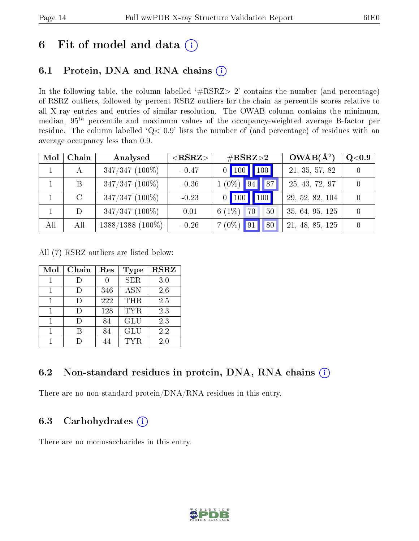## 6 Fit of model and data  $(i)$

## 6.1 Protein, DNA and RNA chains  $(i)$

In the following table, the column labelled  $#RSRZ> 2'$  contains the number (and percentage) of RSRZ outliers, followed by percent RSRZ outliers for the chain as percentile scores relative to all X-ray entries and entries of similar resolution. The OWAB column contains the minimum, median,  $95<sup>th</sup>$  percentile and maximum values of the occupancy-weighted average B-factor per residue. The column labelled ' $Q< 0.9$ ' lists the number of (and percentage) of residues with an average occupancy less than 0.9.

| Mol | Chain   | Analysed           | ${ <\hspace{-1.5pt}{\mathrm{RSRZ}} \hspace{-1.5pt}>}$ | $\#\text{RSRZ}{>}2$                    | $OWAB(A^2)$     | Q <sub>0.9</sub> |
|-----|---------|--------------------|-------------------------------------------------------|----------------------------------------|-----------------|------------------|
|     | А       | $347/347$ (100%)   | $-0.47$                                               | 100<br>$ 100\rangle$<br>$\overline{0}$ | 21, 35, 57, 82  | $\left( \right)$ |
|     | B       | $347/347$ (100%)   | $-0.36$                                               | $1(0\%)$<br> 94                        | 25, 43, 72, 97  | $\Omega$         |
|     | $\rm C$ | $347/347$ (100%)   | $-0.23$                                               | 100<br>100<br>$\overline{0}$           | 29, 52, 82, 104 | $\Omega$         |
|     | D       | $347/347$ (100%)   | 0.01                                                  | 6 $(1\%$<br>70<br>50                   | 35, 64, 95, 125 | $\Omega$         |
| All | All     | $1388/1388$ (100%) | $-0.26$                                               | $7(0\%)$<br>80                         | 21, 48, 85, 125 | $\theta$         |

All (7) RSRZ outliers are listed below:

| Mol | Chain | Res | <b>Type</b> | <b>RSRZ</b> |
|-----|-------|-----|-------------|-------------|
|     |       |     | <b>SER</b>  | 3.0         |
|     |       | 346 | <b>ASN</b>  | 2.6         |
|     |       | 222 | <b>THR</b>  | 2.5         |
|     |       | 128 | TYR.        | 2.3         |
|     |       | 84  | <b>GLU</b>  | 2.3         |
|     |       | 84  | GLU         | 2.2         |
|     |       |     | TYR.        | 2.0         |

### 6.2 Non-standard residues in protein, DNA, RNA chains  $(i)$

There are no non-standard protein/DNA/RNA residues in this entry.

### 6.3 Carbohydrates  $(i)$

There are no monosaccharides in this entry.